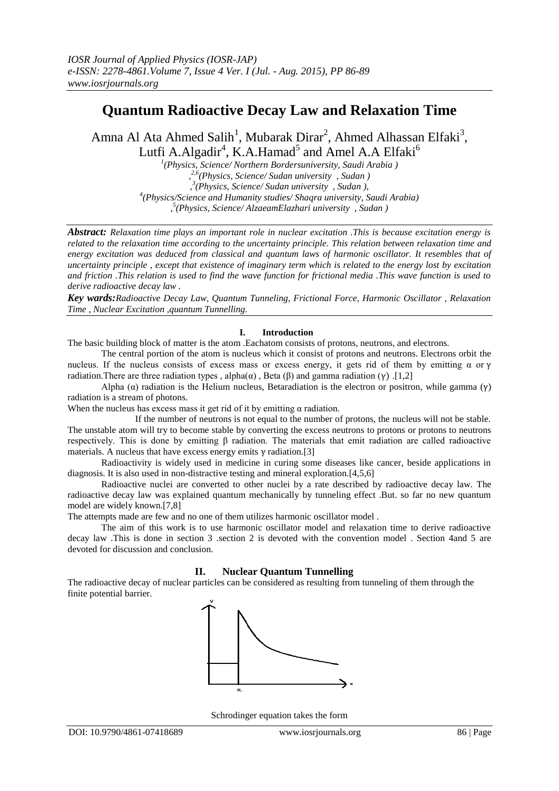# **Quantum Radioactive Decay Law and Relaxation Time**

Amna Al Ata Ahmed Salih<sup>1</sup>, Mubarak Dirar<sup>2</sup>, Ahmed Alhassan Elfaki<sup>3</sup>, Lutfi A.Algadir<sup>4</sup>, K.A.Hamad<sup>5</sup> and Amel A.A Elfaki<sup>6</sup>

*1 (Physics, Science/ Northern Bordersuniversity, Saudi Arabia ) , 2,6(Physics, Science/ Sudan university , Sudan ) , 3 (Physics, Science/ Sudan university , Sudan ), 4 (Physics/Science and Humanity studies/ Shaqra university, Saudi Arabia) , 5 (Physics, Science/ AlzaeamElazhari university , Sudan )*

*Abstract: Relaxation time plays an important role in nuclear excitation .This is because excitation energy is related to the relaxation time according to the uncertainty principle. This relation between relaxation time and energy excitation was deduced from classical and quantum laws of harmonic oscillator. It resembles that of uncertainty principle , except that existence of imaginary term which is related to the energy lost by excitation and friction .This relation is used to find the wave function for frictional media .This wave function is used to derive radioactive decay law .*

*Key wards:Radioactive Decay Law, Quantum Tunneling, Frictional Force, Harmonic Oscillator , Relaxation Time , Nuclear Excitation ,quantum Tunnelling.*

# **I. Introduction**

The basic building block of matter is the atom .Eachatom consists of protons, neutrons, and electrons.

The central portion of the atom is nucleus which it consist of protons and neutrons. Electrons orbit the nucleus. If the nucleus consists of excess mass or excess energy, it gets rid of them by emitting α or γ radiation. There are three radiation types, alpha $(\alpha)$ , Beta  $(\beta)$  and gamma radiation  $(\gamma)$ . [1,2]

Alpha (α) radiation is the Helium nucleus, Betaradiation is the electron or positron, while gamma (γ) radiation is a stream of photons.

When the nucleus has excess mass it get rid of it by emitting  $\alpha$  radiation.

If the number of neutrons is not equal to the number of protons, the nucleus will not be stable. The unstable atom will try to become stable by converting the excess neutrons to protons or protons to neutrons respectively. This is done by emitting β radiation. The materials that emit radiation are called radioactive materials. A nucleus that have excess energy emits  $\gamma$  radiation.[3]

Radioactivity is widely used in medicine in curing some diseases like cancer, beside applications in diagnosis. It is also used in non-distractive testing and mineral exploration.[4,5,6]

Radioactive nuclei are converted to other nuclei by a rate described by radioactive decay law. The radioactive decay law was explained quantum mechanically by tunneling effect .But. so far no new quantum model are widely known.[7,8]

The attempts made are few and no one of them utilizes harmonic oscillator model .

The aim of this work is to use harmonic oscillator model and relaxation time to derive radioactive decay law .This is done in section 3 .section 2 is devoted with the convention model . Section 4and 5 are devoted for discussion and conclusion.

# **II. Nuclear Quantum Tunnelling**

The radioactive decay of nuclear particles can be considered as resulting from tunneling of them through the finite potential barrier.



Schrodinger equation takes the form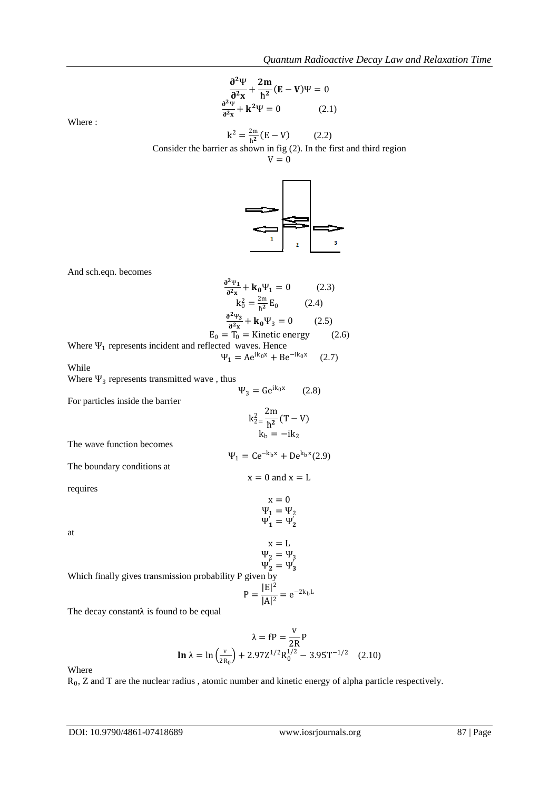$$
\frac{\partial^2 \Psi}{\partial^2 x} + \frac{2m}{\hbar^2} (E - V)\Psi = 0
$$
  

$$
\frac{\partial^2 \Psi}{\partial^2 x} + k^2 \Psi = 0
$$
 (2.1)

Where :

$$
k^2 = \frac{2m}{\hbar^2} (E - V)
$$
 (2.2)

Consider the barrier as shown in fig (2). In the first and third region

 $V = 0$ 



And sch.eqn. becomes

$$
\frac{e^{2\psi_1}}{e^{2\psi_2}} + k_0\Psi_1 = 0 \qquad (2.3)
$$
  
\n $k_0^2 = \frac{2m}{h^2}E_0 \qquad (2.4)$   
\n
$$
\frac{e^{2\psi_2}}{e^{2\psi_2}} + k_0\Psi_3 = 0 \qquad (2.5)
$$
  
\nWhere  $\Psi_1$  represents incident and reflected waves. Hence  
\n $\Psi_1 = Ae^{ik_0x} + Be^{-ik_0x} \qquad (2.7)$   
\nWhile  
\nWhere  $\Psi_3$  represents transmitted wave, thus  
\n $\Psi_3 = Ge^{ik_0x} \qquad (2.8)$   
\nFor particles inside the barrier  
\n $k_2^2 = \frac{2m}{h^2}(T - V)$   
\n $k_b = -ik_2$   
\nThe wave function becomes  
\nThe boundary conditions at  
\n $\Psi_1 = Ce^{-k_bx} + De^{k_bx}(2.9)$   
\nThe boundary conditions at  
\n $x = 0$  and  $x = L$   
\n $x = 0$   
\n $\Psi_1 = \Psi_2$   
\n $\Psi_1' = \Psi_2'$   
\nat  
\n $x = L$   
\n $\Psi_2 = \Psi_3$   
\nWhich finally gives transmission probability P given by  
\n $P = \frac{|E|^2}{|A|^2} = e^{-2k_bL}$   
\nThe decay constant  $\lambda$  is found to be equal

$$
\lambda = fP = \frac{v}{2R}P
$$
  

$$
\ln \lambda = \ln \left(\frac{v}{2R_0}\right) + 2.97Z^{1/2}R_0^{1/2} - 3.95T^{-1/2}
$$
 (2.10)

Where

 $R_0$ , Z and T are the nuclear radius, atomic number and kinetic energy of alpha particle respectively.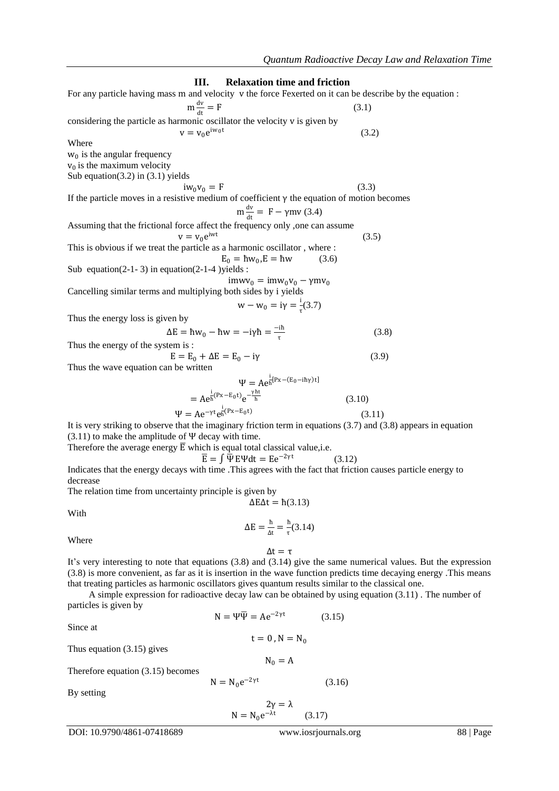**III. Relaxation time and friction** For any particle having mass m and velocity v the force Fexerted on it can be describe by the equation :  $m \frac{dv}{dt}$ dt  $(3.1)$ considering the particle as harmonic oscillator the velocity v is given by  $v = v_0 e^{iw_0 t}$  (3.2) **Where**  $w_0$  is the angular frequency  $v_0$  is the maximum velocity Sub equation(3.2) in  $(3.1)$  yields  $iw_0v_0 = F$  (3.3) If the particle moves in a resistive medium of coefficient γ the equation of motion becomes  $m \frac{dv}{dt}$  $\frac{dv}{dt} = F - \gamma mv(3.4)$ Assuming that the frictional force affect the frequency only ,one can assume  $v = v_0 e^{iwt}$  (3.5) This is obvious if we treat the particle as a harmonic oscillator , where :  $E_0 = \hbar w_0, E = \hbar w$  (3.6) Sub equation(2-1-3) in equation(2-1-4 )yields :  $\text{im}w_{0} = \text{im}w_{0}v_{0} - \gamma \text{m}v_{0}$ Cancelling similar terms and multiplying both sides by i yields  $w - w_0 = iγ = \frac{i}{i}$  $\frac{1}{\tau}(3.7)$ Thus the energy loss is given by  $\Delta E = \hbar w_0 - \hbar w = -i\gamma \hbar = \frac{-i\hbar}{\tau}$ τ (3.8) Thus the energy of the system is :  $E = E_0 + \Delta E = E_0 - i\gamma$  (3.9) Thus the wave equation can be written  $\Psi = Ae^{\frac{i}{\hbar}[Px - (E_0 - i\hbar\gamma)t]}$  $= A e^{\frac{i}{h}(Px - E_0 t)} e^{\frac{\gamma ht}{h}}$  (3.10)  $\Psi = Ae^{-\gamma t}e^{\frac{i}{\hbar}(Px-E_0t)}$  (3.11) It is very striking to observe that the imaginary friction term in equations (3.7) and (3.8) appears in equation  $(3.11)$  to make the amplitude of  $\Psi$  decay with time. Therefore the average energy  $\overline{E}$  which is equal total classical value, i.e.  $\overline{\mathrm{E}} = \int \overline{\Psi} \mathrm{E} \Psi \mathrm{d} \mathrm{t} = \mathrm{E} \mathrm{e}^{-2\gamma \mathrm{t}}$ (3.12)

Indicates that the energy decays with time .This agrees with the fact that friction causes particle energy to decrease

The relation time from uncertainty principle is given by

$$
\Delta E \Delta t = \hbar (3.13)
$$

With

$$
\Delta E = \frac{\hbar}{\Delta t} = \frac{\hbar}{\tau} (3.14)
$$

Where

It's very interesting to note that equations (3.8) and (3.14) give the same numerical values. But the expression (3.8) is more convenient, as far as it is insertion in the wave function predicts time decaying energy .This means that treating particles as harmonic oscillators gives quantum results similar to the classical one.

 $Δt = τ$ 

 A simple expression for radioactive decay law can be obtained by using equation (3.11) . The number of particles is given by

 $N = \Psi \overline{\Psi} = Ae^{-2\gamma t}$ 

 $N = N_0 e^{-2\gamma t}$ 

Since at

 (3.15)  $t = 0$ ,  $N = N_0$ 

Thus equation (3.15) gives

Therefore equation (3.15) becomes

By setting

$$
2\gamma = \lambda
$$
  
N = N<sub>0</sub>e<sup>- $\lambda$ t</sup> (3.17)

 $N_0 = A$ 

(3.16)